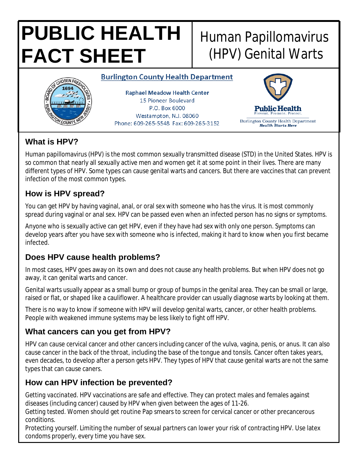# **PUBLIC HEALTH FACT SHEET**

# Human Papillomavirus (HPV) Genital Warts

#### **Burlington County Health Department**



**Raphael Meadow Health Center** 15 Pioneer Boulevard P.O. Box 6000 Westampton, N.J. 08060 Phone: 609-265-5548 Fax: 609-265-3152



# **What is HPV?**

Human papillomavirus (HPV) is the most common sexually transmitted disease (STD) in the United States. HPV is so common that nearly all sexually active men and women get it at some point in their lives. There are many different types of HPV. Some types can cause genital warts and cancers. But there are vaccines that can prevent infection of the most common types.

# **How is HPV spread?**

You can get HPV by having vaginal, anal, or oral sex with someone who has the virus. It is most commonly spread during vaginal or anal sex. HPV can be passed even when an infected person has no signs or symptoms.

Anyone who is sexually active can get HPV, even if they have had sex with only one person. Symptoms can develop years after you have sex with someone who is infected, making it hard to know when you first became infected.

# **Does HPV cause health problems?**

In most cases, HPV goes away on its own and does not cause any health problems. But when HPV does not go away, it can genital warts and cancer.

Genital warts usually appear as a small bump or group of bumps in the genital area. They can be small or large, raised or flat, or shaped like a cauliflower. A healthcare provider can usually diagnose warts by looking at them.

There is no way to know if someone with HPV will develop genital warts, cancer, or other health problems. People with weakened immune systems may be less likely to fight off HPV.

## **What cancers can you get from HPV?**

HPV can cause cervical cancer and other cancers including cancer of the vulva, vagina, penis, or anus. It can also cause cancer in the back of the throat, including the base of the tongue and tonsils. Cancer often takes years, even decades, to develop after a person gets HPV. They types of HPV that cause genital warts are not the same types that can cause caners.

## **How can HPV infection be prevented?**

*Getting vaccinated*. HPV vaccinations are safe and effective. They can protect males and females against diseases (including cancer) caused by HPV when given between the ages of 11-26.

*Getting tested*. Women should get routine Pap smears to screen for cervical cancer or other precancerous conditions.

*Protecting yourself*. Limiting the number of sexual partners can lower your risk of contracting HPV. Use latex condoms properly, every time you have sex.